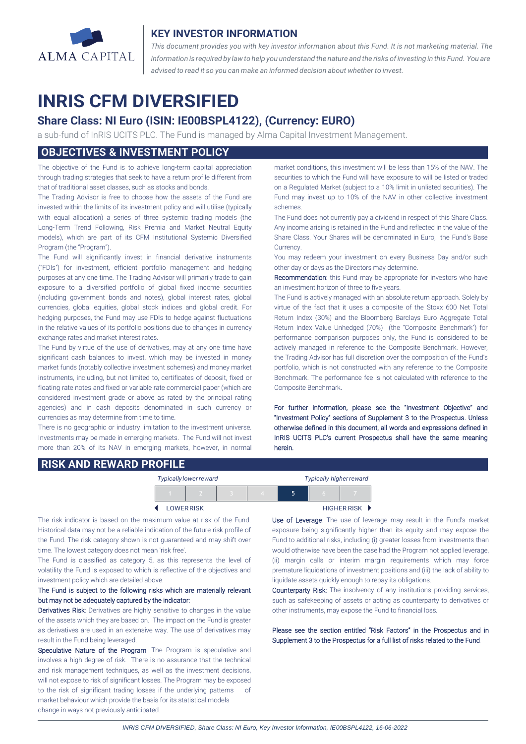

### **KEY INVESTOR INFORMATION**

*This document provides you with key investor information about this Fund. It is not marketing material. The* information is required by law to help you understand the nature and the risks of investing in this Fund. You are *advised to read it so you can make an informed decision about whether to invest.*

# **INRIS CFM DIVERSIFIED**

## **Share Class: NI Euro (ISIN: IE00BSPL4122), (Currency: EURO)**

a sub-fund of InRIS UCITS PLC. The Fund is managed by Alma Capital Investment Management.

## **OBJECTIVES & INVESTMENT POLICY**

The objective of the Fund is to achieve long-term capital appreciation through trading strategies that seek to have a return profile different from that of traditional asset classes, such as stocks and bonds.

The Trading Advisor is free to choose how the assets of the Fund are invested within the limits of its investment policy and will utilise (typically with equal allocation) a series of three systemic trading models (the Long-Term Trend Following, Risk Premia and Market Neutral Equity models), which are part of its CFM Institutional Systemic Diversified Program (the "Program").

The Fund will significantly invest in financial derivative instruments ("FDIs") for investment, efficient portfolio management and hedging purposes at any one time. The Trading Advisor will primarily trade to gain exposure to a diversified portfolio of global fixed income securities (including government bonds and notes), global interest rates, global currencies, global equities, global stock indices and global credit. For hedging purposes, the Fund may use FDIs to hedge against fluctuations in the relative values of its portfolio positions due to changes in currency exchange rates and market interest rates.

The Fund by virtue of the use of derivatives, may at any one time have significant cash balances to invest, which may be invested in money market funds (notably collective investment schemes) and money market instruments, including, but not limited to, certificates of deposit, fixed or floating rate notes and fixed or variable rate commercial paper (which are considered investment grade or above as rated by the principal rating agencies) and in cash deposits denominated in such currency or currencies as may determine from time to time.

There is no geographic or industry limitation to the investment universe. Investments may be made in emerging markets. The Fund will not invest more than 20% of its NAV in emerging markets, however, in normal market conditions, this investment will be less than 15% of the NAV. The securities to which the Fund will have exposure to will be listed or traded on a Regulated Market (subject to a 10% limit in unlisted securities). The Fund may invest up to 10% of the NAV in other collective investment schemes.

The Fund does not currently pay a dividend in respect of this Share Class. Any income arising is retained in the Fund and reflected in the value of the Share Class. Your Shares will be denominated in Euro, the Fund's Base Currency.

You may redeem your investment on every Business Day and/or such other day or days as the Directors may determine.

Recommendation: this Fund may be appropriate for investors who have an investment horizon of three to five years.

The Fund is actively managed with an absolute return approach. Solely by virtue of the fact that it uses a composite of the Stoxx 600 Net Total Return Index (30%) and the Bloomberg Barclays Euro Aggregate Total Return Index Value Unhedged (70%) (the "Composite Benchmark") for performance comparison purposes only, the Fund is considered to be actively managed in reference to the Composite Benchmark. However, the Trading Advisor has full discretion over the composition of the Fund's portfolio, which is not constructed with any reference to the Composite Benchmark. The performance fee is not calculated with reference to the Composite Benchmark.

For further information, please see the "Investment Objective" and "Investment Policy" sections of Supplement 3 to the Prospectus. Unless otherwise defined in this document, all words and expressions defined in InRIS UCITS PLC's current Prospectus shall have the same meaning herein.

#### **RISK AND REWARD PROFILE**

|                   |  | Typically lower reward |  | <b>Typically higher reward</b> |   |  |  |
|-------------------|--|------------------------|--|--------------------------------|---|--|--|
|                   |  |                        |  |                                | 5 |  |  |
| <b>LOWER RISK</b> |  |                        |  | <b>HIGHER RISK ▶</b>           |   |  |  |

The risk indicator is based on the maximum value at risk of the Fund. Historical data may not be a reliable indication of the future risk profile of the Fund. The risk category shown is not guaranteed and may shift over time. The lowest category does not mean 'risk free'.

The Fund is classified as category 5, as this represents the level of volatility the Fund is exposed to which is reflective of the objectives and investment policy which are detailed above.

#### The Fund is subject to the following risks which are materially relevant but may not be adequately captured by the indicator:

Derivatives Risk: Derivatives are highly sensitive to changes in the value of the assets which they are based on. The impact on the Fund is greater as derivatives are used in an extensive way. The use of derivatives may result in the Fund being leveraged.

Speculative Nature of the Program: The Program is speculative and involves a high degree of risk. There is no assurance that the technical and risk management techniques, as well as the investment decisions, will not expose to risk of significant losses. The Program may be exposed to the risk of significant trading losses if the underlying patterns of market behaviour which provide the basis for its statistical models change in ways not previously anticipated.

 $\overline{a}$ 

Use of Leverage: The use of leverage may result in the Fund's market exposure being significantly higher than its equity and may expose the Fund to additional risks, including (i) greater losses from investments than would otherwise have been the case had the Program not applied leverage, (ii) margin calls or interim margin requirements which may force premature liquidations of investment positions and (iii) the lack of ability to liquidate assets quickly enough to repay its obligations.

Counterparty Risk: The insolvency of any institutions providing services, such as safekeeping of assets or acting as counterparty to derivatives or other instruments, may expose the Fund to financial loss.

Please see the section entitled "Risk Factors" in the Prospectus and in Supplement 3 to the Prospectus for a full list of risks related to the Fund.